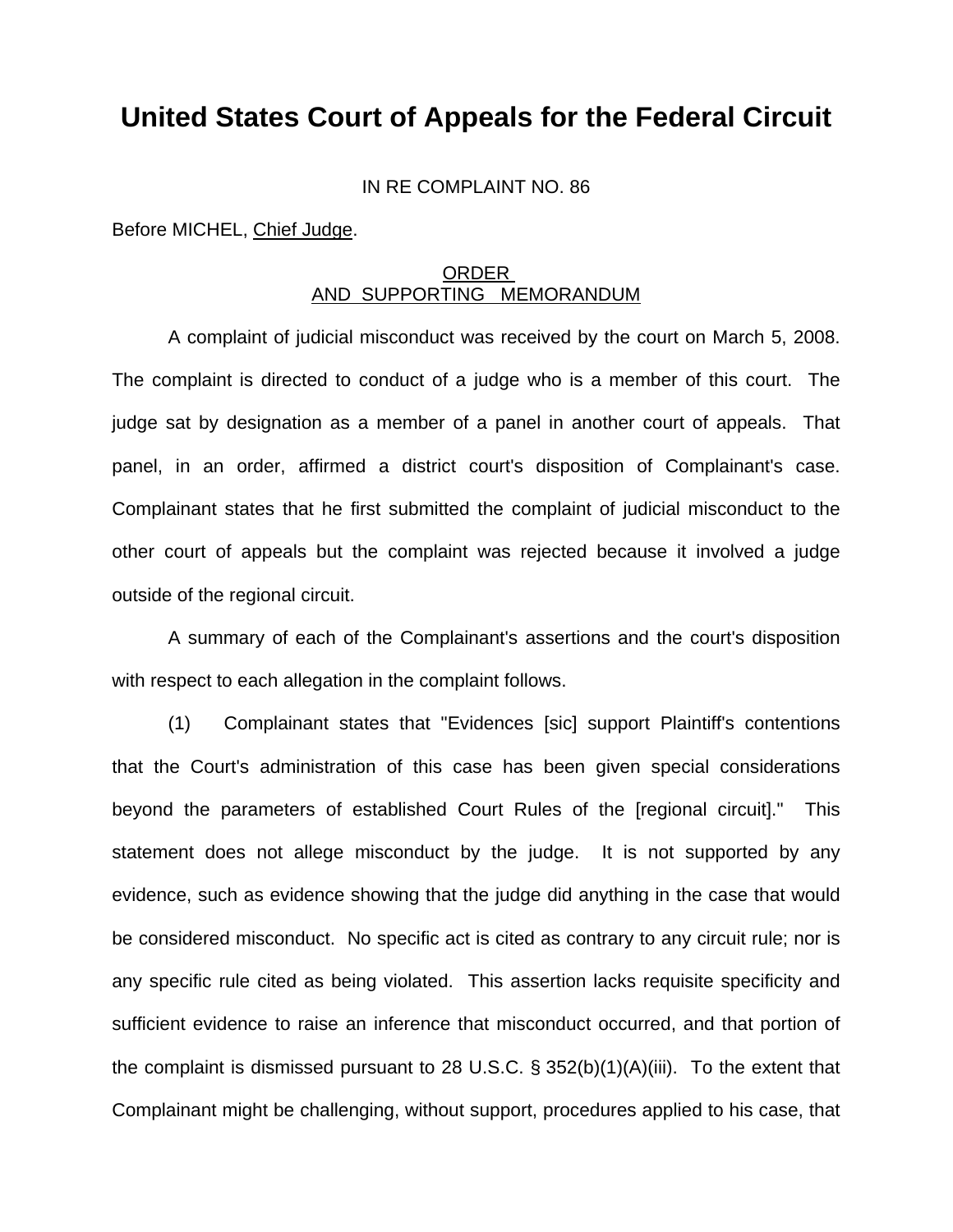## **United States Court of Appeals for the Federal Circuit**

IN RE COMPLAINT NO. 86

Before MICHEL, Chief Judge.

## ORDER AND SUPPORTING MEMORANDUM

 A complaint of judicial misconduct was received by the court on March 5, 2008. The complaint is directed to conduct of a judge who is a member of this court. The judge sat by designation as a member of a panel in another court of appeals. That panel, in an order, affirmed a district court's disposition of Complainant's case. Complainant states that he first submitted the complaint of judicial misconduct to the other court of appeals but the complaint was rejected because it involved a judge outside of the regional circuit.

 A summary of each of the Complainant's assertions and the court's disposition with respect to each allegation in the complaint follows.

 (1) Complainant states that "Evidences [sic] support Plaintiff's contentions that the Court's administration of this case has been given special considerations beyond the parameters of established Court Rules of the [regional circuit]." This statement does not allege misconduct by the judge. It is not supported by any evidence, such as evidence showing that the judge did anything in the case that would be considered misconduct. No specific act is cited as contrary to any circuit rule; nor is any specific rule cited as being violated. This assertion lacks requisite specificity and sufficient evidence to raise an inference that misconduct occurred, and that portion of the complaint is dismissed pursuant to 28 U.S.C. § 352(b)(1)(A)(iii). To the extent that Complainant might be challenging, without support, procedures applied to his case, that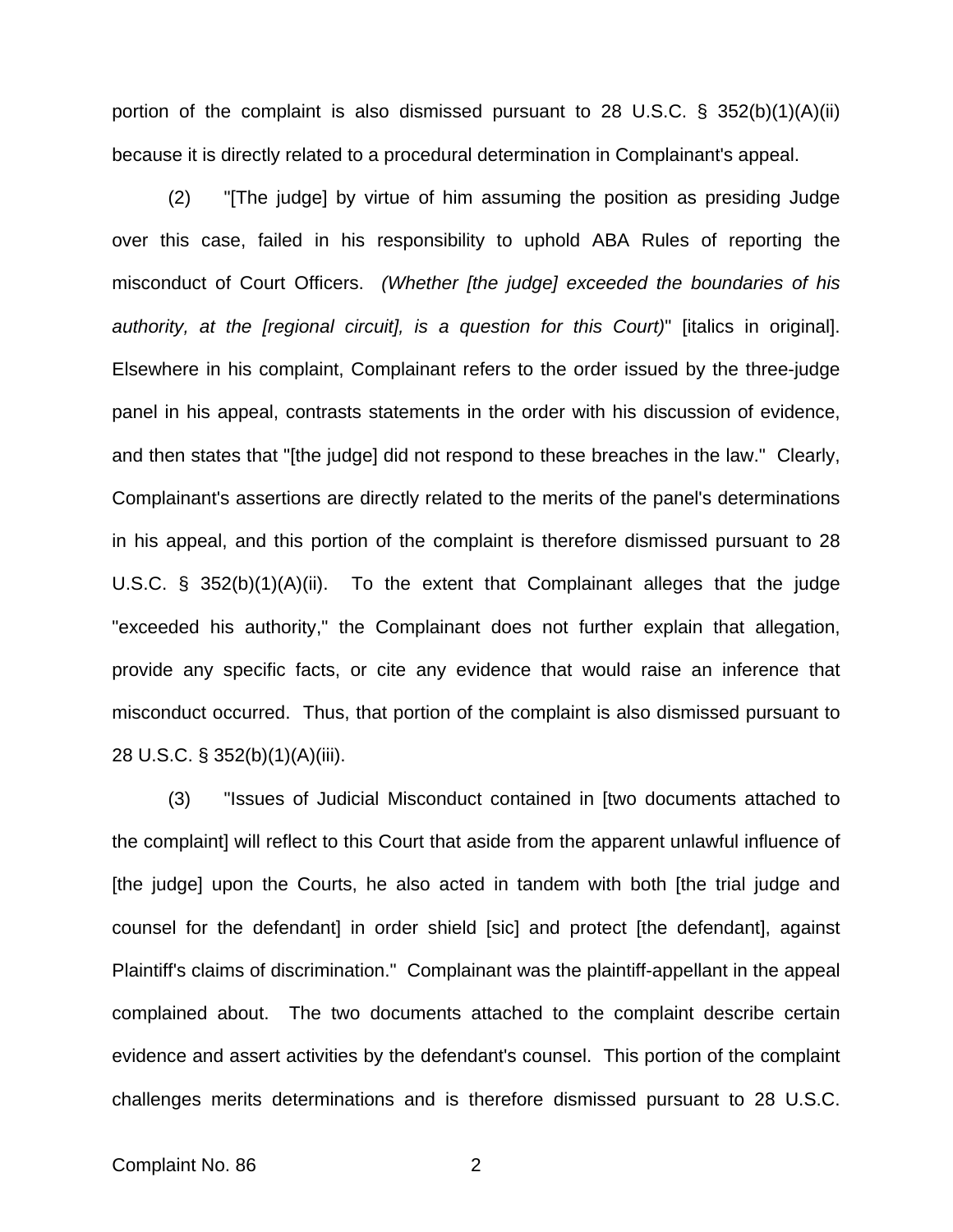portion of the complaint is also dismissed pursuant to 28 U.S.C. § 352(b)(1)(A)(ii) because it is directly related to a procedural determination in Complainant's appeal.

 (2) "[The judge] by virtue of him assuming the position as presiding Judge over this case, failed in his responsibility to uphold ABA Rules of reporting the misconduct of Court Officers. *(Whether [the judge] exceeded the boundaries of his authority, at the [regional circuit], is a question for this Court)*" [italics in original]. Elsewhere in his complaint, Complainant refers to the order issued by the three-judge panel in his appeal, contrasts statements in the order with his discussion of evidence, and then states that "[the judge] did not respond to these breaches in the law." Clearly, Complainant's assertions are directly related to the merits of the panel's determinations in his appeal, and this portion of the complaint is therefore dismissed pursuant to 28 U.S.C. § 352(b)(1)(A)(ii). To the extent that Complainant alleges that the judge "exceeded his authority," the Complainant does not further explain that allegation, provide any specific facts, or cite any evidence that would raise an inference that misconduct occurred. Thus, that portion of the complaint is also dismissed pursuant to 28 U.S.C. § 352(b)(1)(A)(iii).

 (3) "Issues of Judicial Misconduct contained in [two documents attached to the complaint] will reflect to this Court that aside from the apparent unlawful influence of [the judge] upon the Courts, he also acted in tandem with both [the trial judge and counsel for the defendant] in order shield [sic] and protect [the defendant], against Plaintiff's claims of discrimination." Complainant was the plaintiff-appellant in the appeal complained about. The two documents attached to the complaint describe certain evidence and assert activities by the defendant's counsel. This portion of the complaint challenges merits determinations and is therefore dismissed pursuant to 28 U.S.C.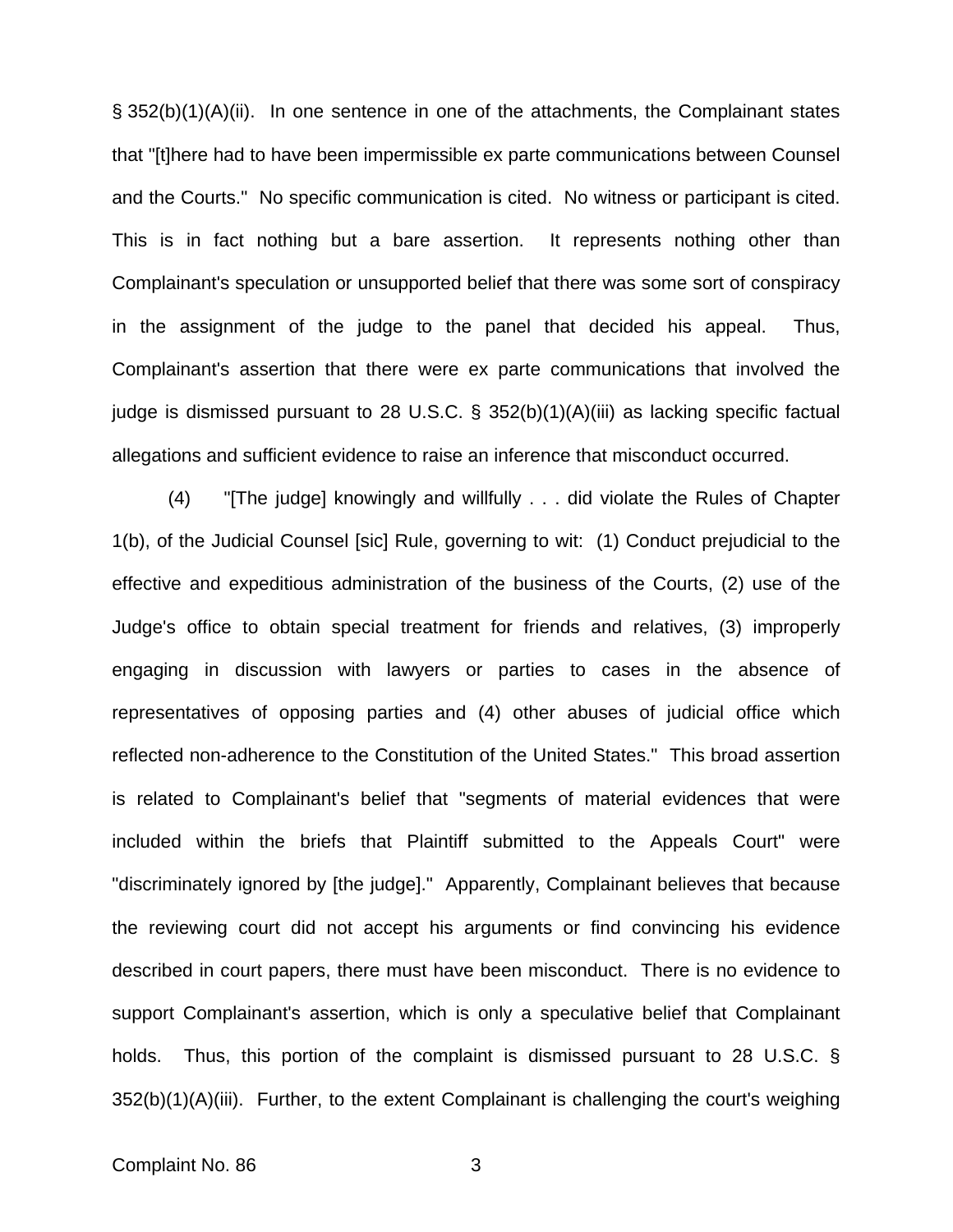§ 352(b)(1)(A)(ii). In one sentence in one of the attachments, the Complainant states that "[t]here had to have been impermissible ex parte communications between Counsel and the Courts." No specific communication is cited. No witness or participant is cited. This is in fact nothing but a bare assertion. It represents nothing other than Complainant's speculation or unsupported belief that there was some sort of conspiracy in the assignment of the judge to the panel that decided his appeal. Thus, Complainant's assertion that there were ex parte communications that involved the judge is dismissed pursuant to 28 U.S.C. § 352(b)(1)(A)(iii) as lacking specific factual allegations and sufficient evidence to raise an inference that misconduct occurred.

 (4) "[The judge] knowingly and willfully . . . did violate the Rules of Chapter 1(b), of the Judicial Counsel [sic] Rule, governing to wit: (1) Conduct prejudicial to the effective and expeditious administration of the business of the Courts, (2) use of the Judge's office to obtain special treatment for friends and relatives, (3) improperly engaging in discussion with lawyers or parties to cases in the absence of representatives of opposing parties and (4) other abuses of judicial office which reflected non-adherence to the Constitution of the United States." This broad assertion is related to Complainant's belief that "segments of material evidences that were included within the briefs that Plaintiff submitted to the Appeals Court" were "discriminately ignored by [the judge]." Apparently, Complainant believes that because the reviewing court did not accept his arguments or find convincing his evidence described in court papers, there must have been misconduct. There is no evidence to support Complainant's assertion, which is only a speculative belief that Complainant holds. Thus, this portion of the complaint is dismissed pursuant to 28 U.S.C. § 352(b)(1)(A)(iii). Further, to the extent Complainant is challenging the court's weighing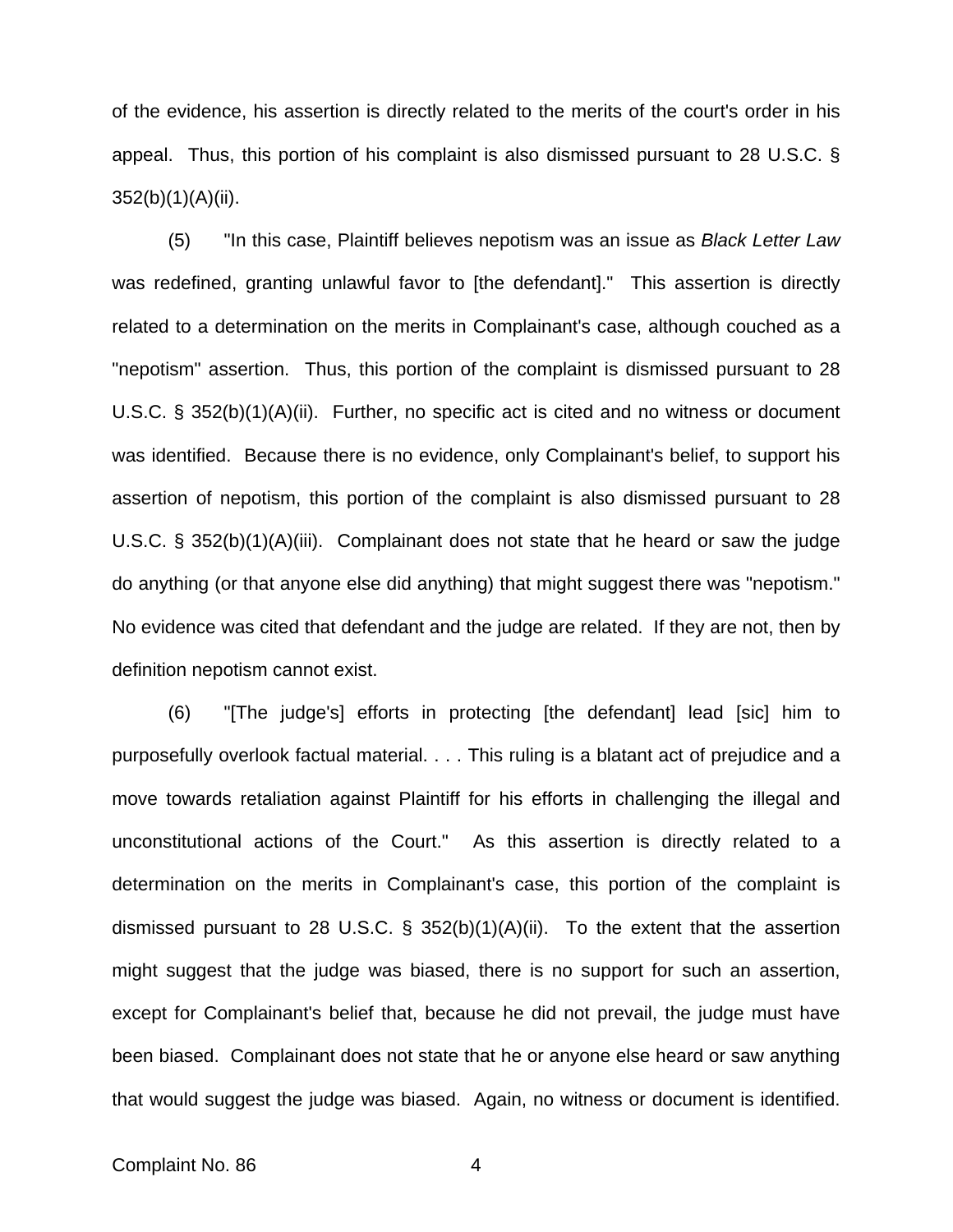of the evidence, his assertion is directly related to the merits of the court's order in his appeal. Thus, this portion of his complaint is also dismissed pursuant to 28 U.S.C. § 352(b)(1)(A)(ii).

 (5) "In this case, Plaintiff believes nepotism was an issue as *Black Letter Law* was redefined, granting unlawful favor to [the defendant]." This assertion is directly related to a determination on the merits in Complainant's case, although couched as a "nepotism" assertion. Thus, this portion of the complaint is dismissed pursuant to 28 U.S.C. § 352(b)(1)(A)(ii). Further, no specific act is cited and no witness or document was identified. Because there is no evidence, only Complainant's belief, to support his assertion of nepotism, this portion of the complaint is also dismissed pursuant to 28 U.S.C. § 352(b)(1)(A)(iii). Complainant does not state that he heard or saw the judge do anything (or that anyone else did anything) that might suggest there was "nepotism." No evidence was cited that defendant and the judge are related. If they are not, then by definition nepotism cannot exist.

 (6) "[The judge's] efforts in protecting [the defendant] lead [sic] him to purposefully overlook factual material. . . . This ruling is a blatant act of prejudice and a move towards retaliation against Plaintiff for his efforts in challenging the illegal and unconstitutional actions of the Court." As this assertion is directly related to a determination on the merits in Complainant's case, this portion of the complaint is dismissed pursuant to 28 U.S.C. § 352(b)(1)(A)(ii). To the extent that the assertion might suggest that the judge was biased, there is no support for such an assertion, except for Complainant's belief that, because he did not prevail, the judge must have been biased. Complainant does not state that he or anyone else heard or saw anything that would suggest the judge was biased. Again, no witness or document is identified.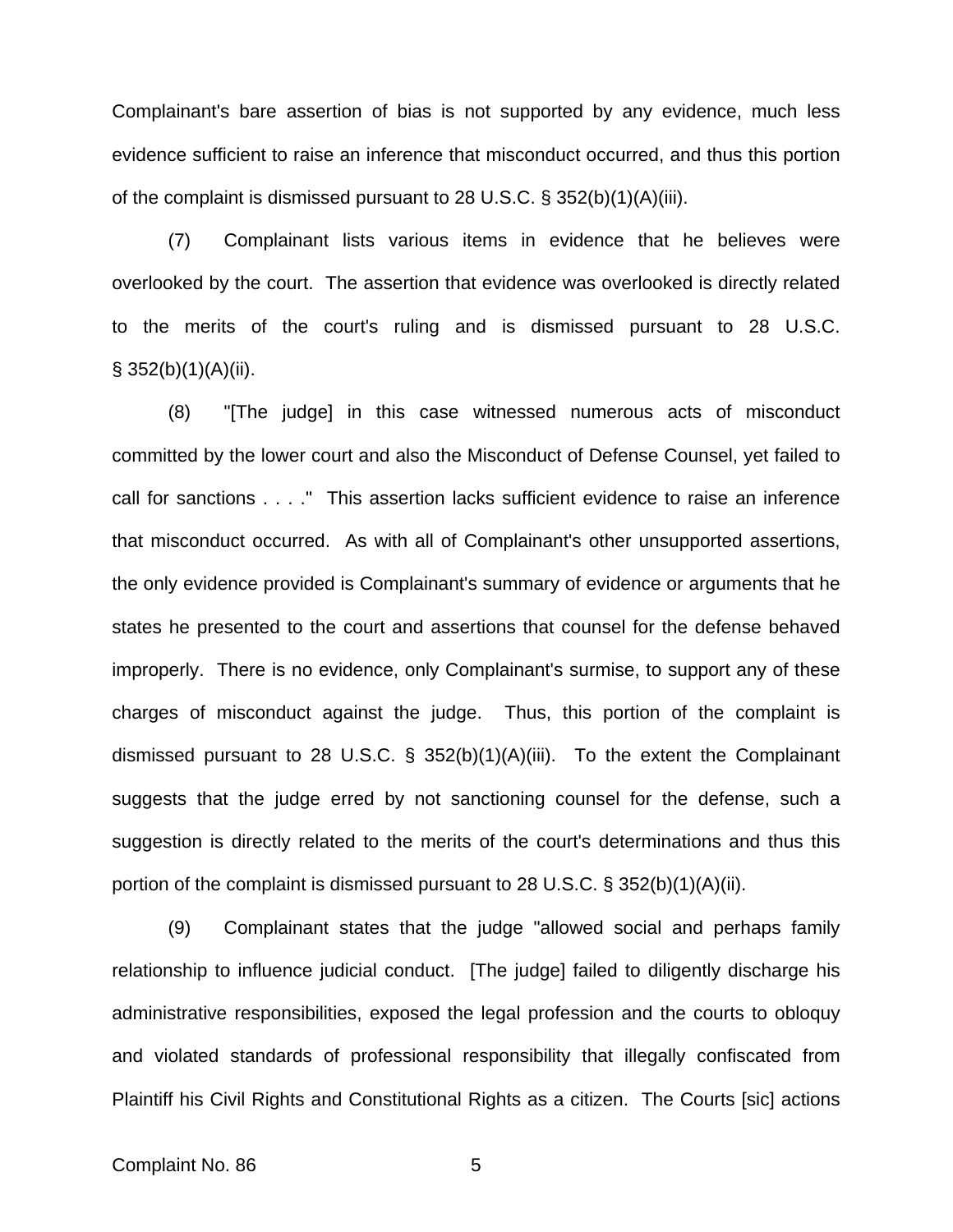Complainant's bare assertion of bias is not supported by any evidence, much less evidence sufficient to raise an inference that misconduct occurred, and thus this portion of the complaint is dismissed pursuant to 28 U.S.C. § 352(b)(1)(A)(iii).

 (7) Complainant lists various items in evidence that he believes were overlooked by the court. The assertion that evidence was overlooked is directly related to the merits of the court's ruling and is dismissed pursuant to 28 U.S.C.  $§$  352(b)(1)(A)(ii).

 (8) "[The judge] in this case witnessed numerous acts of misconduct committed by the lower court and also the Misconduct of Defense Counsel, yet failed to call for sanctions . . . ." This assertion lacks sufficient evidence to raise an inference that misconduct occurred. As with all of Complainant's other unsupported assertions, the only evidence provided is Complainant's summary of evidence or arguments that he states he presented to the court and assertions that counsel for the defense behaved improperly. There is no evidence, only Complainant's surmise, to support any of these charges of misconduct against the judge. Thus, this portion of the complaint is dismissed pursuant to 28 U.S.C. § 352(b)(1)(A)(iii). To the extent the Complainant suggests that the judge erred by not sanctioning counsel for the defense, such a suggestion is directly related to the merits of the court's determinations and thus this portion of the complaint is dismissed pursuant to 28 U.S.C. § 352(b)(1)(A)(ii).

 (9) Complainant states that the judge "allowed social and perhaps family relationship to influence judicial conduct. [The judge] failed to diligently discharge his administrative responsibilities, exposed the legal profession and the courts to obloquy and violated standards of professional responsibility that illegally confiscated from Plaintiff his Civil Rights and Constitutional Rights as a citizen. The Courts [sic] actions